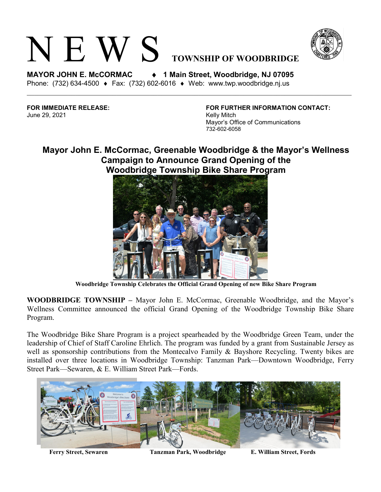



**MAYOR JOHN E. McCORMAC** ♦ **1 Main Street, Woodbridge, NJ 07095**  Phone: (732) 634-4500 ♦ Fax: (732) 602-6016 ♦ Web: www.twp.woodbridge.nj.us

June 29, 2021 **Kelly Mitch Kelly Mitch** 

**FOR IMMEDIATE RELEASE: FOR FURTHER INFORMATION CONTACT:** Mayor's Office of Communications 732-602-6058

## **Mayor John E. McCormac, Greenable Woodbridge & the Mayor's Wellness Campaign to Announce Grand Opening of the Woodbridge Township Bike Share Program**



**Woodbridge Township Celebrates the Official Grand Opening of new Bike Share Program**

**WOODBRIDGE TOWNSHIP –** Mayor John E. McCormac, Greenable Woodbridge, and the Mayor's Wellness Committee announced the official Grand Opening of the Woodbridge Township Bike Share Program.

The Woodbridge Bike Share Program is a project spearheaded by the Woodbridge Green Team, under the leadership of Chief of Staff Caroline Ehrlich. The program was funded by a grant from Sustainable Jersey as well as sponsorship contributions from the Montecalvo Family & Bayshore Recycling. Twenty bikes are installed over three locations in Woodbridge Township: Tanzman Park—Downtown Woodbridge, Ferry Street Park—Sewaren, & E. William Street Park—Fords.



**Ferry Street, Sewaren Tanzman Park, Woodbridge E. William Street, Fords**